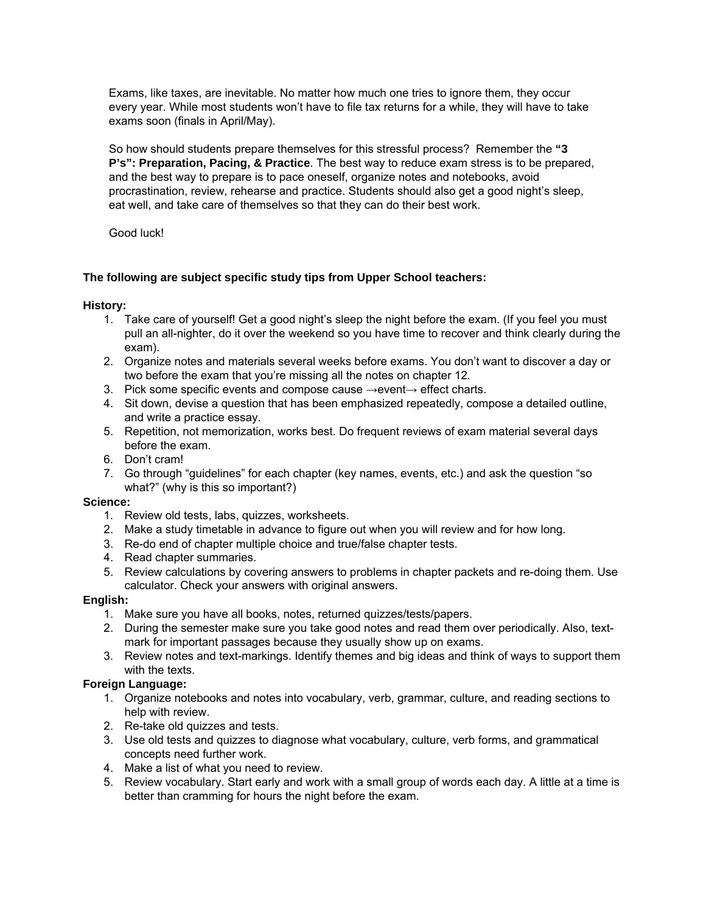Exams, like taxes, are inevitable. No matter how much one tries to ignore them, they occur every year. While most students won't have to file tax returns for a while, they will have to take exams soon (finals in April/May).

So how should students prepare themselves for this stressful process? Remember the **"3 P's": Preparation, Pacing, & Practice**. The best way to reduce exam stress is to be prepared, and the best way to prepare is to pace oneself, organize notes and notebooks, avoid procrastination, review, rehearse and practice. Students should also get a good night's sleep, eat well, and take care of themselves so that they can do their best work.

Good luck!

## **The following are subject specific study tips from Upper School teachers:**

## **History:**

- 1. Take care of yourself! Get a good night's sleep the night before the exam. (If you feel you must pull an all-nighter, do it over the weekend so you have time to recover and think clearly during the exam).
- 2. Organize notes and materials several weeks before exams. You don't want to discover a day or two before the exam that you're missing all the notes on chapter 12.
- 3. Pick some specific events and compose cause →event→ effect charts.
- 4. Sit down, devise a question that has been emphasized repeatedly, compose a detailed outline, and write a practice essay.
- 5. Repetition, not memorization, works best. Do frequent reviews of exam material several days before the exam.
- 6. Don't cram!
- 7. Go through "guidelines" for each chapter (key names, events, etc.) and ask the question "so what?" (why is this so important?)

## **Science:**

- 1. Review old tests, labs, quizzes, worksheets.
- 2. Make a study timetable in advance to figure out when you will review and for how long.
- 3. Re-do end of chapter multiple choice and true/false chapter tests.
- 4. Read chapter summaries.
- 5. Review calculations by covering answers to problems in chapter packets and re-doing them. Use calculator. Check your answers with original answers.

## **English:**

- 1. Make sure you have all books, notes, returned quizzes/tests/papers.
- 2. During the semester make sure you take good notes and read them over periodically. Also, textmark for important passages because they usually show up on exams.
- 3. Review notes and text-markings. Identify themes and big ideas and think of ways to support them with the texts.

## **Foreign Language:**

- 1. Organize notebooks and notes into vocabulary, verb, grammar, culture, and reading sections to help with review.
- 2. Re-take old quizzes and tests.
- 3. Use old tests and quizzes to diagnose what vocabulary, culture, verb forms, and grammatical concepts need further work.
- 4. Make a list of what you need to review.
- 5. Review vocabulary. Start early and work with a small group of words each day. A little at a time is better than cramming for hours the night before the exam.